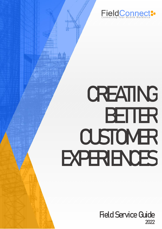

# **CREATING BETTER CUSTOMER EXPERIENCES**

Field Service Guide 2022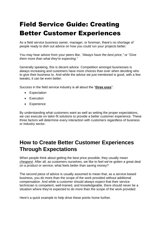# Field Service Guide: Creating Better Customer Experiences

As a field service business owner, manager, or foreman, there's no shortage of people ready to dish out advice on how you could run your projects better.

You may hear advice from your peers like, *"Always have the best price,"* or *"Give them more than what they're expecting."*

Generally speaking, this is decent advice. Competition amongst businesses is always increasing and customers have more choices than ever when deciding who to give their business to. And while the advice we just mentioned is good, with a few tweaks, it can be even better.

Success in the field service industry is all about the "**three exes**":

- Expectation
- Execution
- Experience

By understanding what customers want as well as setting the proper expectations, we can execute on tailor-fit solutions to provide a better customer experience. These three factors will determine every interaction with customers regardless of business or industry sector.

# **How to Create Better Customer Experiences Through Expectations**

When people think about getting the best price possible, they usually mea[n](https://www.sciencedaily.com/releases/2014/07/140722125729.htm) *[cheapest](https://www.sciencedaily.com/releases/2014/07/140722125729.htm)*. After all, as customers ourselves, we like to feel we've gotten a great deal on a product or service; what feels better than saving money?

The second piece of advice is usually assumed to mean that, as a service-based business, you do more than the scope of the work provided without additional compensation. And while a customer should always expect that their service technician is competent, well-trained, and knowledgeable, there should never be a situation where they're expected to do more than the scope of the work provided.

Here's a quick example to help drive these points home further.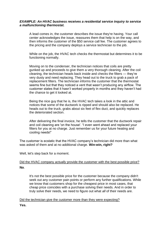#### *EXAMPLE: An HVAC business receives a residential service inquiry to service a malfunctioning thermostat.*

A lead comes in, the customer describes the issue they're having. Your call center acknowledges the issue, reassures them that help is on the way, and then informs the customer of the \$50 service call fee. The customer agrees to the pricing and the company deploys a service technician to the job.

While on the job, the HVAC tech checks the thermostat but determines it to be functioning normally.

Moving on to the condenser, the technician notices that coils are pretty gunked up and proceeds to give them a very thorough cleaning. After the coil cleaning, the technician heads back inside and checks the filters — they're very dusty and need replacing. They head out to the truck to grab a pack of replacement filters. The technician informs the customer that the thermostat seems fine but that they noticed a vent that wasn't producing any airflow. The customer states that it hasn't worked properly in months and they haven't had the chance to get it looked at.

Being the nice guy that he is, the HVAC tech takes a look in the attic and notices that some of the ductwork is ripped and should also be replaced. He heads out to the truck, grabs about six feet of flex duct, and quickly replaces the deteriorated section.

After delivering the final invoice, he tells the customer that the ductwork repair and coil cleaning are 'on the house'. "I even went ahead and replaced your filters for you at no charge. Just remember us for your future heating and cooling needs!"

The customer is ecstatic that the HVAC company's technician did more than what was asked of them and at no additional charge. **Win-win, right?**

Well, let's step back for a moment.

#### Did the HVAC company *actually* provide the customer with the best possible price? **No**.

It's not the best possible price for the customer because the company didn't seek out any customer pain points or perform any further qualifications. While we know that customers shop for the cheapest price in most cases, that cheap price coincides with a purchase solving their needs. And in order to truly solve their needs, we need to figure out what *all* of their needs are.

Did the technician give the customer more than they were expecting?

**Yes.**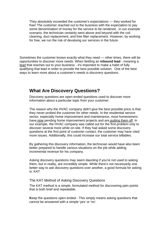They absolutely exceeded the customer's expectations — they worked for free! The customer reached out to the business with the expectation to pay some denomination of money for the service to be rendered. In our example scenario, the technician certainly went above and beyond with the coil cleaning, duct replacement, and free filter replacement. However, by working for free, we run the risk of devaluing our services in the future.

Sometimes the customer knows exactly what they need — other times, there will be opportunities to discover more needs. When fielding an **inbound lead** - meaning [a](https://www.fieldconnect.com/improving-quote-accuracy-and-providing-onsite-estimates/) [lead](https://www.fieldconnect.com/improving-quote-accuracy-and-providing-onsite-estimates/) that reaches out to your business - it's important to make a habit of fully qualifying that lead in order to provide the best possible solution. One of the best ways to learn more about a customer's needs is discovery questions.

## **What Are Discovery Questions?**

Discovery questions are open-ended questions used to discover more information about a particular topic from your customer.

The reason why the HVAC company didn't give the best possible price is that they never probed the customer for other needs. In the residential service sector, especially home improvement and maintenance, most homeowners have [nine](https://nypost.com/2018/06/12/youre-not-the-only-one-putting-off-your-diy-projects/) pending home improvement projects and are [putting them off.](https://porch.com/resource/get-home-in-shape-2019) In our example, the HVAC company was called out for the first problem only to discover several more while on-site. If they had asked some discovery questions at the first point of customer contact, the customer may have cited more issues. Additionally, this could increase our total service billables.

By gathering this discovery information, the technician would have also been better prepared to handle various situations on the job while adding incremental revenue for his company.

Asking discovery questions may seem daunting if you're not used to asking them, but in reality, are incredibly simple. While there's not necessarily one better way to ask discovery questions over another, a good formula for asking is: KAT

#### The KAT Method of Asking Discovery Questions

The KAT method is a simple, formulated method for discovering pain points that is both brief and repeatable.

**K**eep the questions open-ended - This simply means asking questions that *cannot* be answered with a simple 'yes' or 'no'.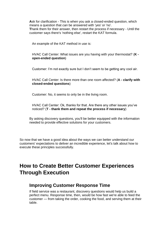**A**sk for clarification - This is when you ask a closed-ended question, which means a question that *can* be answered with 'yes' or 'no'. **T**hank them for their answer, then restart the process if necessary - Until the customer says there's 'nothing else', restart the KAT formula.

An example of the KAT method in use is:

HVAC Call Center: What issues are you having with your thermostat? (**K open-ended question**)

Customer: I'm not exactly sure but I don't seem to be getting any cool air.

HVAC Call Center: Is there more than one room affected? (**A - clarify with closed-ended questions**)

Customer: No, it seems to only be in the living room.

HVAC Call Center: Ok, thanks for that. Are there any other issues you've noticed? (**T - thank them and repeat the process if necessary**)

By asking discovery questions, you'll be better equipped with the information needed to provide effective solutions for your customers.

So now that we have a good idea about the ways we can better understand our customers' expectations to deliver an incredible experience, let's talk about how to execute these principles successfully.

# **How to Create Better Customer Experiences Through Execution**

## **Improving Customer Response Time**

If field service was a restaurant, discovery questions would help us build a perfect menu. Response time, then, would be how fast we're able to feed the customer — from taking the order, cooking the food, and serving them at their table.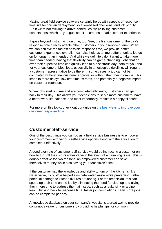Having great field service software certainly helps with aspects of response time like technician deployment, location-based check-ins, and job priority. But if we're not sticking to arrival schedules, we're failing customer expectations, which — you guessed it — creates a bad customer experience.

It goes beyond just arriving on time, too. See, the first customer of the day's response time directly affects other customers in your service queue. When we can achieve the fastest possible response time, we provide better customer experiences overall. It can also help as a time buffer should a job go on for longer than intended. And while we definitely don't want to take more time than needed, having that flexibility can be game-changing. Jobs that go over their expected time can quickly lead to a disastrous day, both for you and for your customers. Most jobs, especially in an occupied dwelling, will require a customer representative to be there. In some cases, a job cannot be completed without final customer approval or without them being on-site. This leads to more delays, low first-time fix rates, and potentially a negative impact on customer retention.

When jobs start on time and are completed efficiently, customers can get back to their day. This allows your technicians to serve more customers, have a better work-life balance, and most importantly, maintain a happy clientele.

For more on this topic, check out our guide on [the best ways to improve your](http://www.fieldconnect.com/how-to-improve-response-times-first-visit-resolutions/)  [customer response time.](http://www.fieldconnect.com/how-to-improve-response-times-first-visit-resolutions/)

## **Customer Self-service**

One of the best things you can do as a field service business is to empower your customers with various self-service options along with the education to complete it effectively.

A good example of customer self-service would be instructing a customer on how to turn off their sink's water valve in the event of a plumbing issue. This is doubly effective for two reasons; an empowered customer can save themselves money while also saving your technician's time.

If the customer had the knowledge and ability to turn off the kitchen sink's water valve, it could've helped eliminate water waste while preventing further potential damage to kitchen fixtures or flooring. For the technician, this can speed up their time on the job by eliminating the need for cleanup and giving them more time to address the main issue, such as a leaky sink or a pipe leak. Thinking back to response time, faster job completions mean more jobs can be completed per day.

A knowledge database on your company's website is a great way to provide continuous value for customers by providing helpful tips for common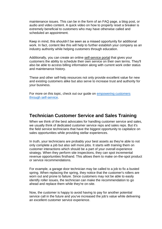maintenance issues. This can be in the form of an FAQ page, a blog post, or audio and video content. A quick video on how to properly reset a breaker is extremely beneficial to customers who may have otherwise called and scheduled an appointment.

Keep in mind, this shouldn't be seen as a missed opportunity for additional work. In fact, content like this will help to further establish your company as an industry authority while helping customers through education.

Additionally, you can create an online [self-service portal](http://www.fieldconnect.com/fielddirect-software/) that gives your customers the ability to schedule their own service on their own terms. They'll also be able to access billing information along with current work order status and maintenance history.

These and other self-help resources not only provide excellent value for new and existing customers alike but also serve to increase trust and authority for your business.

For more on this topic, check out our guide on [empowering customers](http://www.fieldconnect.com/how-to-empower-your-customers/)  [through self-service.](http://www.fieldconnect.com/how-to-empower-your-customers/)

## **Technician Customer Service and Sales Training**

When we think of the best advocates for handling customer service and sales, we usually think of dedicated customer service reps and sales reps. But it's the field service technicians that have the biggest opportunity to capitalize on sales opportunities while providing stellar experiences.

In truth, your technicians are probably your best assets as they're able to not only complete a job but also sell more jobs. It starts with training them on customer interactions which should be a part of your overall experience strategy. When they perform site inspections, they can spot incremental revenue opportunities firsthand. This allows them to make on-the-spot product or service recommendations.

For example, a garage door technician may be called to a job to fix a busted spring. When replacing the spring, they notice that the customer's rollers are worn out and prone to failure. Since customers may not be able to easily identify roller issues, the technician can make the recommendation to go ahead and replace them while they're on-site.

Now, the customer is happy to avoid having to pay for another potential service call in the future and you've increased the job's value while delivering an excellent customer service experience.